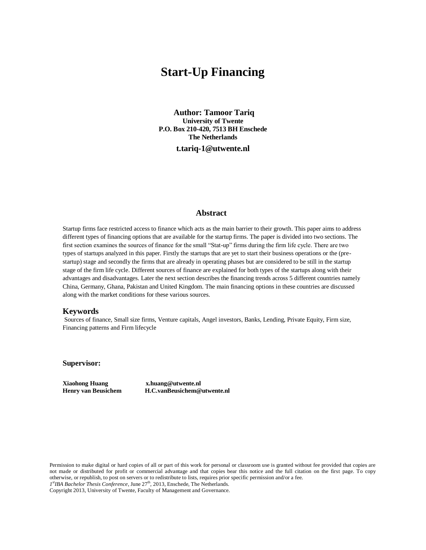# **Start-Up Financing**

**Author: Tamoor Tariq University of Twente P.O. Box 210-420, 7513 BH Enschede The Netherlands**

**t.tariq-1@utwente.nl**

## **Abstract**

Startup firms face restricted access to finance which acts as the main barrier to their growth. This paper aims to address different types of financing options that are available for the startup firms. The paper is divided into two sections. The first section examines the sources of finance for the small "Stat-up" firms during the firm life cycle. There are two types of startups analyzed in this paper. Firstly the startups that are yet to start their business operations or the (prestartup) stage and secondly the firms that are already in operating phases but are considered to be still in the startup stage of the firm life cycle. Different sources of finance are explained for both types of the startups along with their advantages and disadvantages. Later the next section describes the financing trends across 5 different countries namely China, Germany, Ghana, Pakistan and United Kingdom. The main financing options in these countries are discussed along with the market conditions for these various sources.

#### **Keywords**

Sources of finance, Small size firms, Venture capitals, Angel investors, Banks, Lending, Private Equity, Firm size, Financing patterns and Firm lifecycle

**Supervisor:** 

**Xiaohong Huang [x.huang@utwente.nl](mailto:x.huang@utwente.nl)**

**Henry van Beusichem [H.C.vanBeusichem@utwente.nl](mailto:H.C.vanBeusichem@utwente.nl)**

Permission to make digital or hard copies of all or part of this work for personal or classroom use is granted without fee provided that copies are not made or distributed for profit or commercial advantage and that copies bear this notice and the full citation on the first page. To copy otherwise, or republish, to post on servers or to redistribute to lists, requires prior specific permission and/or a fee. 1<sup>st</sup>IBA Bachelor Thesis Conference, June 27<sup>th</sup>, 2013, Enschede, The Netherlands.

Copyright 2013, University of Twente, Faculty of Management and Governance.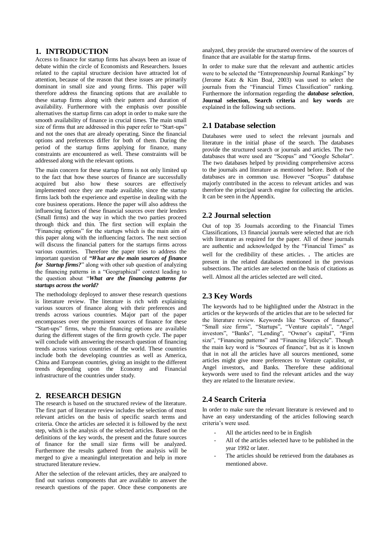# **1. INTRODUCTION**

Access to finance for startup firms has always been an issue of debate within the circle of Economists and Researchers. Issues related to the capital structure decision have attracted lot of attention, because of the reason that these issues are primarily dominant in small size and young firms. This paper will therefore address the financing options that are available to these startup firms along with their pattern and duration of availability. Furthermore with the emphasis over possible alternatives the startup firms can adopt in order to make sure the smooth availability of finance in crucial times. The main small size of firms that are addressed in this paper refer to "Start-ups" and not the ones that are already operating. Since the financial options and preferences differ for both of them. During the period of the startup firms applying for finance, many constraints are encountered as well. These constraints will be addressed along with the relevant options.

The main concern for these startup firms is not only limited up to the fact that how these sources of finance are successfully acquired but also how these sources are effectively implemented once they are made available, since the startup firms lack both the experience and expertise in dealing with the core business operations. Hence the paper will also address the influencing factors of these financial sources over their lenders (Small firms) and the way in which the two parties proceed through thick and thin. The first section will explain the "Financing options" for the startups which is the main aim of this paper along with the influencing factors. The next section will discuss the financial patters for the startups firms across various countries. Therefore the paper tries to address the important question of *"What are the main sources of finance for Startup firms?*" along with other sub question of analyzing the financing patterns in a "Geographical" context leading to the question about "*What are the financing patterns for startups across the world?*

The methodology deployed to answer these research questions is literature review. The literature is rich with explaining various sources of finance along with their preferences and trends across various countries. Major part of the paper encompasses over the prominent sources of finance for these "Start-ups" firms, where the financing options are available during the different stages of the firm growth cycle. The paper will conclude with answering the research question of financing trends across various countries of the world. These countries include both the developing countries as well as America, China and European countries, giving an insight to the different trends depending upon the Economy and Financial infrastructure of the countries under study.

# **2. RESEARCH DESIGN**

The research is based on the structured review of the literature. The first part of literature review includes the selection of most relevant articles on the basis of specific search terms and criteria. Once the articles are selected it is followed by the next step, which is the analysis of the selected articles. Based on the definitions of the key words, the present and the future sources of finance for the small size firms will be analyzed. Furthermore the results gathered from the analysis will be merged to give a meaningful interpretation and help in more structured literature review.

After the selection of the relevant articles, they are analyzed to find out various components that are available to answer the research questions of the paper. Once these components are analyzed, they provide the structured overview of the sources of finance that are available for the startup firms.

In order to make sure that the relevant and authentic articles were to be selected the "Entrepreneurship Journal Rankings" by (Jerome Katz & Kim Boal, 2003) was used to select the journals from the "Financial Times Classification" ranking. Furthermore the information regarding the *database selection*, **Journal selection, Search criteria** and **key words** are explained in the following sub sections.

## **2.1 Database selection**

Databases were used to select the relevant journals and literature in the initial phase of the search. The databases provide the structured search or journals and articles. The two databases that were used are "Scopus" and "Google Scholar". The two databases helped by providing comprehensive access to the journals and literature as mentioned before. Both of the databases are in common use. However "Scopus" database majorly contributed in the access to relevant articles and was therefore the principal search engine for collecting the articles. It can be seen in the Appendix.

### **2.2 Journal selection**

Out of top 35 Journals according to the Financial Times Classifications, 13 financial journals were selected that are rich with literature as required for the paper. All of these journals are authentic and acknowledged by the "Financial Times" as well for the credibility of these articles. . The articles are present in the related databases mentioned in the previous subsections. The articles are selected on the basis of citations as well. Almost all the articles selected are well cited.

# **2.3 Key Words**

The keywords had to be highlighted under the Abstract in the articles or the keywords of the articles that are to be selected for the literature review. Keywords like "Sources of finance", "Small size firms", "Startups", "Venture capitals", "Angel investors", "Banks", "Lending", "Owner's capital", "Firm size", "Financing patterns" and "Financing lifecycle". Though the main key word is "Sources of finance", but as it is known that in not all the articles have all sources mentioned, some articles might give more preferences to Venture capitalist, or Angel investors, and Banks. Therefore these additional keywords were used to find the relevant articles and the way they are related to the literature review.

# **2.4 Search Criteria**

In order to make sure the relevant literature is reviewed and to have an easy understanding of the articles following search criteria's were used.

- All the articles need to be in English
- All of the articles selected have to be published in the year 1992 or later.
- The articles should be retrieved from the databases as mentioned above.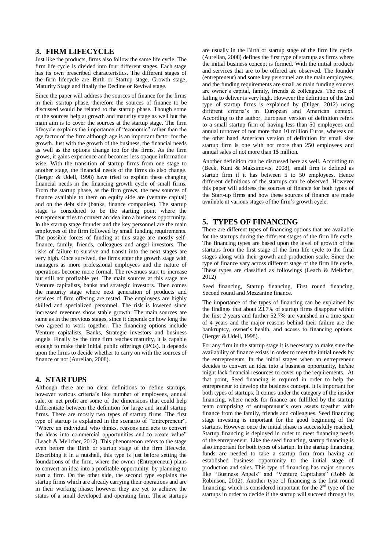# **3. FIRM LIFECYCLE**

Just like the products, firms also follow the same life cycle. The firm life cycle is divided into four different stages. Each stage has its own prescribed characteristics. The different stages of the firm lifecycle are Birth or Startup stage, Growth stage, Maturity Stage and finally the Decline or Revival stage.

Since the paper will address the sources of finance for the firms in their startup phase, therefore the sources of finance to be discussed would be related to the startup phase. Though some of the sources help at growth and maturity stage as well but the main aim is to cover the sources at the startup stage. The firm lifecycle explains the importance of "economic" rather than the age factor of the firm although age is an important factor for the growth. Just with the growth of the business, the financial needs as well as the options change too for the firms. As the firm grows, it gains experience and becomes less opaque information wise. With the transition of startup firms from one stage to another stage, the financial needs of the firms do also change. (Berger & Udell, 1998) have tried to explain these changing financial needs in the financing growth cycle of small firms. From the startup phase, as the firm grows, the new sources of finance available to them on equity side are (venture capital) and on the debt side (banks, finance companies). The startup stage is considered to be the starting point where the entrepreneur tries to convert an idea into a business opportunity. In the startup stage founder and the key personnel are the main employees of the firm followed by small funding requirements. The possible forces of funding at this stage are mostly selffinance, family, friends, colleagues and angel investors. The risks of failure to survive and transit into the next stages are very high. Once survived, the firms enter the growth stage with managers as more professional employees and the nature of operations become more formal. The revenues start to increase but still not profitable yet. The main sources at this stage are Venture capitalists, banks and strategic investors. Then comes the maturity stage where next generation of products and services of firm offering are tested. The employees are highly skilled and specialized personnel. The risk is lowered since increased revenues show stable growth. The main sources are same as in the previous stages, since it depends on how long the two agreed to work together. The financing options include Venture capitalists, Banks, Strategic investors and business angels. Finally by the time firm reaches maturity, it is capable enough to make their initial public offerings (IPOs). It depends upon the firms to decide whether to carry on with the sources of finance or not (Aurelian, 2008).

# **4. STARTUPS**

Although there are no clear definitions to define startups, however various criteria's like number of employees, annual sale, or net profit are some of the dimensions that could help differentiate between the definition for large and small startup firms. There are mostly two types of startup firms. The first type of startup is explained in the scenario of "Entrepreneur", "Where an individual who thinks, reasons and acts to convert the ideas into commercial opportunities and to create value" (Leach & Melicher, 2012). This phenomenon refers to the stage even before the Birth or startup stage of the firm lifecycle. Describing it in a nutshell, this type is just before setting the foundations of the firm, where the owner (Entrepreneur) plans to convert an idea into a profitable opportunity, by planning to start a firm. On the other side, the second type explains the startup firms which are already carrying their operations and are in their working phase; however they are yet to achieve the status of a small developed and operating firm. These startups are usually in the Birth or startup stage of the firm life cycle. (Aurelian, 2008) defines the first type of startups as firms where the initial business concept is formed. With the initial products and services that are to be offered are observed. The founder (entrepreneur) and some key personnel are the main employees, and the funding requirements are small as main funding sources are owner's capital, family, friends & colleagues. The risk of failing to deliver is very high. However the definition of the 2nd type of startup firms is explained by (Dilger, 2012) using different criteria's in European and American context. According to the author, European version of definition refers to a small startup firm of having less than 50 employees and annual turnover of not more than 10 million Euros, whereas on the other hand American version of definition for small size startup firm is one with not more than 250 employees and annual sales of not more than 1\$ million.

Another definition can be discussed here as well. According to (Beck, Kunt & Maksimovis, 2008), small firm is defined as startup firm if it has between 5 to 50 employees. Hence different definitions of the startups can be observed. However this paper will address the sources of finance for both types of the Start-up firms and how these sources of finance are made available at various stages of the firm's growth cycle.

# **5. TYPES OF FINANCING**

There are different types of financing options that are available for the startups during the different stages of the firm life cycle. The financing types are based upon the level of growth of the startups from the first stage of the firm life cycle to the final stages along with their growth and production scale. Since the type of finance vary across different stage of the firm life cycle. These types are classified as followings (Leach & Melicher, 2012)

Seed financing, Startup financing, First round financing, Second round and Mezzanine finance.

The importance of the types of financing can be explained by the findings that about 23.7% of startup firms disappear within the first *2* years and further 52.7% are vanished in a time span of *4* years and the major reasons behind their failure are the bankruptcy, owner's health, and access to financing options. (Berger & Udell, 1998).

For any firm in the startup stage it is necessary to make sure the availability of finance exists in order to meet the initial needs by the entrepreneurs. In the initial stages when an entrepreneur decides to convert an idea into a business opportunity, he/she might lack financial resources to cover up the requirements. At that point, Seed financing is required in order to help the entrepreneur to develop the business concept. It is important for both types of startups. It comes under the category of the insider financing, where needs for finance are fulfilled by the startup team comprising of entrepreneur's own assets together with finance from the family, friends and colleagues. Seed financing stage investing is important for the good beginning of the startups. However once the initial phase is successfully reached, Startup financing is deployed in order to meet financing needs of the entrepreneur. Like the seed financing, startup financing is also important for both types of startup. In the startup financing, funds are needed to take a startup firm from having an established business opportunity to the initial stage of production and sales. This type of financing has major sources like "Business Angels" and "Venture Capitalists" (Robb & Robinson, 2012). Another type of financing is the first round financing; which is considered important for the  $2<sup>nd</sup>$  type of the startups in order to decide if the startup will succeed through its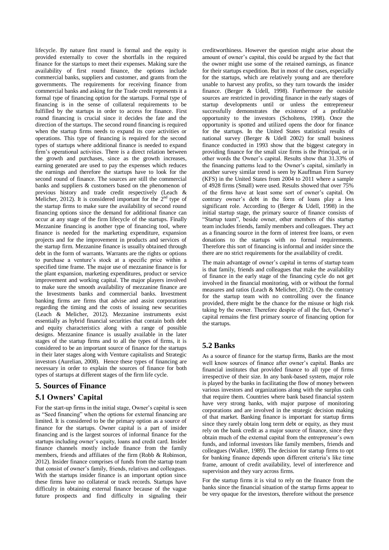lifecycle. By nature first round is formal and the equity is provided externally to cover the shortfalls in the required finance for the startups to meet their expenses. Making sure the availability of first round finance, the options include commercial banks, suppliers and customer, and grants from the governments. The requirements for receiving finance from commercial banks and asking for the Trade credit represents it a formal type of financing option for the startups. Formal type of financing is in the sense of collateral requirements to be fulfilled by the startups in order to access for finance. First round financing is crucial since it decides the fate and the direction of the startups. The second round financing is required when the startup firms needs to expand its core activities or operations. This type of financing is required for the second types of startups where additional finance is needed to expand firm's operational activities. There is a direct relation between the growth and purchases, since as the growth increases, earning generated are used to pay the expenses which reduces the earnings and therefore the startups have to look for the second round of finance. The sources are still the commercial banks and suppliers & customers based on the phenomenon of previous history and trade credit respectively (Leach & Melicher, 2012). It is considered important for the  $2<sup>nd</sup>$  type of the startup firms to make sure the availability of second round financing options since the demand for additional finance can occur at any stage of the firm lifecycle of the startups. Finally Mezzanine financing is another type of financing tool, where finance is needed for the marketing expenditure, expansion projects and for the improvement in products and services of the startup firm. Mezzanine finance is usually obtained through debt in the form of warrants. Warrants are the rights or options to purchase a venture's stock at a specific price within a specified time frame. The major use of mezzanine finance is for the plant expansion, marketing expenditures, product or service improvement and working capital. The major players involved to make sure the smooth availability of mezzanine finance are the Investments banks and commercial banks. Investment banking firms are firms that advise and assist corporations regarding the timing and the costs of issuing new securities (Leach & Melicher, 2012). Mezzanine instruments exist essentially as hybrid financial securities that contain both debt and equity characteristics along with a range of possible designs. Mezzanine finance is usually available in the later stages of the startup firms and to all the types of firms, it is considered to be an important source of finance for the startups in their later stages along with Venture capitalists and Strategic investors (Aurelian, 2008). Hence these types of financing are necessary in order to explain the sources of finance for both types of startups at different stages of the firm life cycle.

# **5. Sources of Finance**

# **5.1 Owners' Capital**

For the start-up firms in the initial stage, Owner's capital is seen as "Seed financing" when the options for external financing are limited. It is considered to be the primary option as a source of finance for the startups. Owner capital is a part of insider financing and is the largest sources of informal finance for the startups including owner's equity, loans and credit card. Insider finance channels mostly include finance from the family members, friends and affiliates of the firm (Robb & Robinson, 2012). Insider finance comprises of funds from the startup team that consist of owner's family, friends, relatives and colleagues. With the startups insider finance is an important option since these firms have no collateral or track records. Startups have difficulty in obtaining external finance because of the vague future prospects and find difficulty in signaling their

creditworthiness. However the question might arise about the amount of owner's capital, this could be argued by the fact that the owner might use some of the retained earnings, as finance for their startups expedition. But in most of the cases, especially for the startups, which are relatively young and are therefore unable to harvest any profits, so they turn towards the insider finance. (Berger & Udell, 1998). Furthermore the outside sources are restricted in providing finance in the early stages of startup developments until or unless the entrepreneur successfully demonstrates the existence of a profitable opportunity to the investors (Scholtens, 1998). Once the opportunity is spotted and utilized opens the door for finance for the startups. In the United States statistical results of national survey (Berger & Udell 2002) for small business finance conducted in 1993 show that the biggest category in providing finance for the small size firms is the Principal, or in other words the Owner's capital. Results show that 31.33% of the financing patterns lead to the Owner's capital, similarly in another survey similar trend is seen by Kauffman Firm Survey (KFS) in the United States from 2004 to 2011 where a sample of 4928 firms (Small) were used. Results showed that over 75% of the firms have at least some sort of owner's capital. On contrary owner's debt in the form of loans play a less significant role. According to (Berger & Udell, 1998) in the initial startup stage, the primary source of finance consists of "Startup team", beside owner, other members of this startup team includes friends, family members and colleagues. They act as a financing source in the form of interest free loans, or even donations to the startups with no formal requirements. Therefore this sort of financing is informal and insider since the there are no strict requirements for the availability of credit.

The main advantage of owner's capital in terms of startup team is that family, friends and colleagues that make the availability of finance in the early stage of the financing cycle do not get involved in the financial monitoring, with or without the formal measures and ratios (Leach & Melicher, 2012). On the contrary for the startup team with no controlling over the finance provided, there might be the chance for the misuse or high risk taking by the owner. Therefore despite of all the fact, Owner's capital remains the first primary source of financing option for the startups.

# **5.2 Banks**

As a source of finance for the startup firms, Banks are the most well know sources of finance after owner's capital. Banks are financial institutes that provided finance to all type of firms irrespective of their size. In any bank-based system, major role is played by the banks in facilitating the flow of money between various investors and organizations along with the surplus cash that require them. Countries where bank based financial system have very strong banks, with major purpose of monitoring corporations and are involved in the strategic decision making of that market. Banking finance is important for startup firms since they rarely obtain long term debt or equity, as they must rely on the bank credit as a major source of finance, since they obtain much of the external capital from the entrepreneur's own funds, and informal investors like family members, friends and colleagues (Walker, 1989). The decision for startup firms to opt for banking finance depends upon different criteria's like time frame, amount of credit availability, level of interference and supervision and they vary across firms.

For the startup firms it is vital to rely on the finance from the banks since the financial situation of the startup firms appear to be very opaque for the investors, therefore without the presence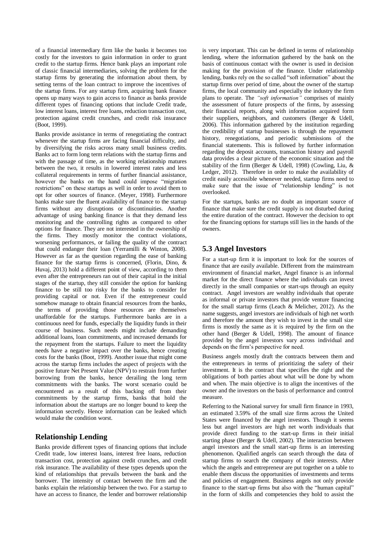of a financial intermediary firm like the banks it becomes too costly for the investors to gain information in order to grant credit to the startup firms. Hence bank plays an important role of classic financial intermediaries, solving the problem for the startup firms by generating the information about them, by setting terms of the loan contract to improve the incentives of the startup firms. For any startup firm, acquiring bank finance opens up many ways to gain access to finance as banks provide different types of financing options that include Credit trade, low interest loans, interest free loans, reduction transaction cost, protection against credit crunches, and credit risk insurance  $(Boot, 1999)$ .

Banks provide assistance in terms of renegotiating the contract whenever the startup firms are facing financial difficulty, and by diversifying the risks across many small business credits. Banks act to form long term relations with the startup firms and with the passage of time, as the working relationship matures between the two, it results in lowered interest rates and less collateral requirements in terms of further financial assistance, however the banks on the hand could impose "migration restrictions" on these startups as well in order to avoid them to opt for other sources of finance. (Meyer, 1998). Furthermore banks make sure the fluent availability of finance to the startup firms without any disruptions or discontinuities. Another advantage of using banking finance is that they demand less monitoring and the controlling rights as compared to other options for finance. They are not interested in the ownership of the firms. They mostly monitor the contract violations, worsening performances, or failing the quality of the contract that could endanger their loan (Yerramilli & Winton, 2008). However as far as the question regarding the ease of banking finance for the startup firms is concerned, (Florin, Dino, & Huvaj, 2013) hold a different point of view, according to them even after the entrepreneurs ran out of their capital in the initial stages of the startup, they still consider the option for banking finance to be still too risky for the banks to consider for providing capital or not. Even if the entrepreneur could somehow manage to obtain financial resources from the banks, the terms of providing those resources are themselves unaffordable for the startups. Furthermore banks are in a continuous need for funds, especially the liquidity funds in their course of business. Such needs might include demanding additional loans, loan commitments, and increased demands for the repayment from the startups. Failure to meet the liquidity needs have a negative impact over the banks, hence creating costs for the banks (Boot, 1999). Another issue that might come across the startup firms includes the aspect of projects with the positive future Net Present Value (NPV) to restrain from further borrowing from the banks, hence derailing the long term commitments with the banks. The worst scenario could be encountered as a result of this backing off from their commitments by the startup firms, banks that hold the information about the startups are no longer bound to keep the information secretly. Hence information can be leaked which would make the condition worst.

### **Relationship Lending**

Banks provide different types of financing options that include Credit trade, low interest loans, interest free loans, reduction transaction cost, protection against credit crunches, and credit risk insurance. The availability of these types depends upon the kind of relationships that prevails between the bank and the borrower. The intensity of contact between the firm and the banks explain the relationship between the two. For a startup to have an access to finance, the lender and borrower relationship is very important. This can be defined in terms of relationship lending, where the information gathered by the bank on the basis of continuous contact with the owner is used in decision making for the provision of the finance. Under relationship lending, banks rely on the so called "soft information" about the startup firms over period of time, about the owner of the startup firms, the local community and especially the industry the firm plans to operate. The *"soft information"* comprises of mainly the assessment of future prospects of the firms, by assessing their financial reports, along with information acquired form their suppliers, neighbors, and customers (Berger & Udell, 2006). This information gathered by the institution regarding the credibility of startup businesses is through the repayment history, renegotiations, and periodic submissions of the financial statements. This is followed by further information regarding the deposit accounts, transaction history and payroll data provides a clear picture of the economic situation and the stability of the firm (Berger & Udell, 1998) (Cowling, Liu, & Ledger, 2012). Therefore in order to make the availability of credit easily accessible whenever needed, startup firms need to make sure that the issue of "relationship lending" is not overlooked.

For the startups, banks are no doubt an important source of finance that make sure the credit supply is not disturbed during the entire duration of the contract. However the decision to opt for the financing options for startups still lies in the hands of the owners.

### **5.3 Angel Investors**

For a start-up firm it is important to look for the sources of finance that are easily available. Different from the mainstream environment of financial market, Angel finance is an informal market for the direct finance where the individuals can invest directly in the small companies or start-ups through an equity contract. Angel investors are wealthy individuals that operate as informal or private investors that provide venture financing for the small startup firms (Leach & Melicher, 2012). As the name suggests, angel investors are individuals of high net worth and therefore the amount they wish to invest in the small size firms is mostly the same as it is required by the firm on the other hand (Berger & Udell, 1998). The amount of finance provided by the angel investors vary across individual and depends on the firm's perspective for need.

Business angels mostly draft the contracts between them and the entrepreneurs in terms of prioritizing the safety of their investment. It is the contract that specifies the right and the obligations of both parties about what will be done by whom and when. The main objective is to align the incentives of the owner and the investors on the basis of performance and control measure.

Referring to the National survey for small firm finance in 1993, an estimated 3.59% of the small size firms across the United States were financed by the angel investors. Though it seems less but angel investors are high net worth individuals that provide direct funding to the start-up firms in their initial starting phase (Berger  $\&$  Udell, 2002). The interaction between angel investors and the small start-up firms is an interesting phenomenon. Qualified angels can search through the data of startup firms to search the company of their interests. After which the angels and entrepreneur are put together on a table to enable them discuss the opportunities of investments and terms and policies of engagement. Business angels not only provide finance to the start-up firms but also with the "human capital" in the form of skills and competencies they hold to assist the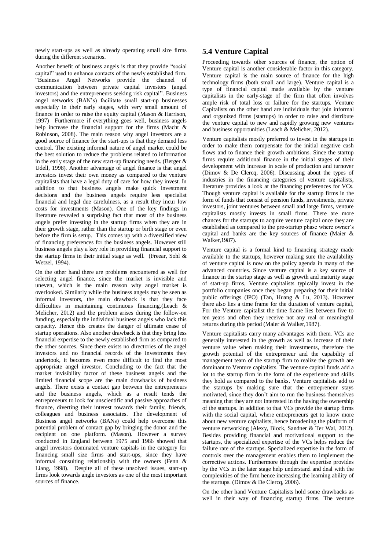newly start-ups as well as already operating small size firms during the different scenarios.

Another benefit of business angels is that they provide "social capital" used to enhance contacts of the newly established firm. "Business Angel Networks provide the channel of communication between private capital investors (angel investors) and the entrepreneurs seeking risk capital". Business angel networks (BAN's) facilitate small start-up businesses especially in their early stages, with very small amount of finance in order to raise the equity capital (Mason & Harrison, 1997) Furthermore if everything goes well, business angels help increase the financial support for the firms (Macht & Robinson, 2008). The main reason why angel investors are a good source of finance for the start-ups is that they demand less control. The existing informal nature of angel market could be the best solution to reduce the problems related to information in the early stage of the new start-up financing needs. (Berger  $\&$ Udell, 1998). Another advantage of angel finance is that angel investors invest their own money as compared to the venture capitalists that have a legal duty of care for how they invest. In addition to that business angels make quick investment decisions and the business angels require less specialist financial and legal due carefulness, as a result they incur low costs for investments (Mason). One of the key findings in literature revealed a surprising fact that most of the business angels prefer investing in the startup firms when they are in their growth stage, rather than the startup or birth stage or even before the firm is setup. This comes up with a diversified view of financing preferences for the business angels. However still business angels play a key role in providing financial support to the startup firms in their initial stage as well. (Freear, Sohl  $\&$ Wetzel, 1994).

On the other hand there are problems encountered as well for selecting angel finance, since the market is invisible and uneven, which is the main reason why angel market is overlooked. Similarly while the business angels may be seen as informal investors, the main drawback is that they face difficulties in maintaining continuous financing.(Leach & Melicher, 2012) and the problem arises during the follow-on funding, especially the individual business angels who lack this capacity. Hence this creates the danger of ultimate cease of startup operations. Also another drawback is that they bring less financial expertise to the newly established firm as compared to the other sources. Since there exists no directories of the angel investors and no financial records of the investments they undertook, it becomes even more difficult to find the most appropriate angel investor. Concluding to the fact that the market invisibility factor of these business angels and the limited financial scope are the main drawbacks of business angels. There exists a contact gap between the entrepreneurs and the business angels, which as a result tends the entrepreneurs to look for unscientific and passive approaches of finance, diverting their interest towards their family, friends, colleagues and business associates. The development of Business angel networks (BANs) could help overcome this potential problem of contact gap by bringing the donor and the recipient on one platform. (Mason). However a survey conducted in England between 1975 and 1986 showed that angel investors dominated venture capitals in the category for financing small size firms and start-ups, since they have informal consulting relationship with the owners (Fenn & Liang, 1998). Despite all of these unsolved issues, start-up firms look towards angle investors as one of the most important sources of finance.

# **5.4 Venture Capital**

Proceeding towards other sources of finance, the option of Venture capital is another considerable factor in this category. Venture capital is the main source of finance for the high technology firms (both small and large). Venture capital is a type of financial capital made available by the venture capitalists in the early-stage of the firm that often involves ample risk of total loss or failure for the startups. Venture Capitalists on the other hand are individuals that join informal and organized firms (startups) in order to raise and distribute the venture capital to new and rapidly growing new ventures and business opportunities (Leach & Melicher, 2012).

Venture capitalists mostly preferred to invest in the startups in order to make them compensate for the initial negative cash flows and to finance their growth ambitions. Since the startup firms require additional finance in the initial stages of their development with increase in scale of production and turnover (Dimov & De Clercq, 2006). Discussing about the types of industries in the financing categories of venture capitalists, literature provides a look at the financing preferences for VCs. Though venture capital is available for the startup firms in the form of funds that consist of pension funds, investments, private investors, joint ventures between small and large firms, venture capitalists mostly invests in small firms. There are more chances for the startups to acquire venture capital once they are established as compared to the pre-startup phase where owner's capital and banks are the key sources of finance (Maier  $\&$ Walker,1987).

Venture capital is a formal kind to financing strategy made available to the startups, however making sure the availability of venture capital is now on the policy agenda in many of the advanced countries. Since venture capital is a key source of finance in the startup stage as well as growth and maturity stage of start-up firms, Venture capitalists typically invest in the portfolio companies once they began preparing for their initial public offerings (IPO) (Tan, Huang & Lu, 2013). However there also lies a time frame for the duration of venture capital, For the Venture capitalist the time frame lies between five to ten years and often they receive not any real or meaningful returns during this period (Maier & Walker,1987).

Venture capitalists carry many advantages with them. VCs are generally interested in the growth as well as increase of their venture value when making their investments, therefore the growth potential of the entrepreneur and the capability of management team of the startup firm to realize the growth are dominant to Venture capitalists. The venture capital funds add a lot to the startup firm in the form of the experience and skills they hold as compared to the banks. Venture capitalists add to the startups by making sure that the entrepreneur stays motivated, since they don't aim to run the business themselves meaning that they are not interested in the having the ownership of the startups. In addition to that VCs provide the startup firms with the social capital, where entrepreneurs get to know more about new venture capitalists, hence broadening the platform of venture networking (Alexy, Block, Sandner & Ter Wal, 2012). Besides providing financial and motivational support to the startups, the specialized expertise of the VCs helps reduce the failure rate of the startups. Specialized expertise in the form of controls over the management enables them to implement the corrective actions. Furthermore through the expertise provides by the VCs in the later stage help understand and deal with the complexities of the firm hence increasing the learning ability of the startups. (Dimov & De Clercq, 2006).

On the other hand Venture Capitalists hold some drawbacks as well in their way of financing startup firms. The venture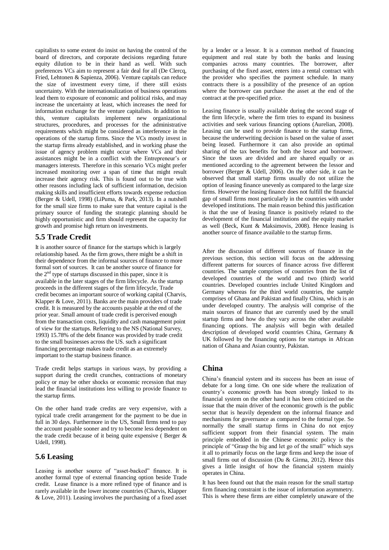capitalists to some extent do insist on having the control of the board of directors, and corporate decisions regarding future equity dilution to be in their hand as well. With such preferences VCs aim to represent a fair deal for all (De Clercq, Fried, Lehtonen & Sapienza, 2006). Venture capitals can reduce the size of investment every time, if there still exists uncertainty. With the internationalization of business operations lead them to exposure of economic and political risks, and may increase the uncertainty at least, which increases the need for information exchange for the venture capitalists. In addition to this, venture capitalists implement new organizational structures, procedures, and processes for the administrative requirements which might be considered as interference in the operations of the startup firms. Since the VCs mostly invest in the startup firms already established, and in working phase the issue of agency problem might occur where VCs and their assistances might be in a conflict with the Entrepreneur's or managers interests. Therefore in this scenario VCs might prefer increased monitoring over a span of time that might result increase their agency risk. This is found out to be true with other reasons including lack of sufficient information, decision making skills and insufficient efforts towards expense reduction (Berger & Udell, 1998) (LiPuma, & Park, 2013). In a nutshell for the small size firms to make sure that venture capital is the primary source of funding the strategic planning should be highly opportunistic and firm should represent the capacity for growth and promise high return on investments.

# **5.5 Trade Credit**

It is another source of finance for the startups which is largely relationship based. As the firm grows, there might be a shift in their dependence from the informal sources of finance to more formal sort of sources. It can be another source of finance for the 2nd type of startups discussed in this paper, since it is available in the later stages of the firm lifecycle. As the startup proceeds in the different stages of the firm lifecycle, Trade credit becomes an important source of working capital (Charvis, Klapper & Love, 2011). Banks are the main providers of trade credit. It is measured by the accounts payable at the end of the prior year. Small amount of trade credit is perceived enough from the transaction costs, liquidity and cash management point of view for the startups. Referring to the NS (National Survey, 1993) 15.78% of the debt finance was provided by trade credit to the small businesses across the US. such a significant financing percentage makes trade credit as an extremely important to the startup business finance.

Trade credit helps startups in various ways, by providing a support during the credit crunches, contractions of monetary policy or may be other shocks or economic recession that may lead the financial institutions less willing to provide finance to the startup firms.

On the other hand trade credits are very expensive, with a typical trade credit arrangement for the payment to be due in full in 30 days. Furthermore in the US, Small firms tend to pay the account payable sooner and try to become less dependent on the trade credit because of it being quite expensive ( Berger & Udell, 1998).

# **5.6 Leasing**

Leasing is another source of "asset-backed" finance. It is another formal type of external financing option beside Trade credit. Lease finance is a more refined type of finance and is rarely available in the lower income countries (Charvis, Klapper & Love, 2011). Leasing involves the purchasing of a fixed asset by a lender or a lessor. It is a common method of financing equipment and real state by both the banks and leasing companies across many countries. The borrower, after purchasing of the fixed asset, enters into a rental contract with the provider who specifies the payment schedule. In many contracts there is a possibility of the presence of an option where the borrower can purchase the asset at the end of the contract at the pre-specified price.

Leasing finance is usually available during the second stage of the firm lifecycle, where the firm tries to expand its business activities and seek various financing options (Aurelian, 2008). Leasing can be used to provide finance to the startup firms, because the underwriting decision is based on the value of asset being leased. Furthermore it can also provide an optimal sharing of the tax benefits for both the lessor and borrower. Since the taxes are divided and are shared equally or as mentioned according to the agreement between the lessor and borrower (Berger & Udell, 2006). On the other side, it can be observed that small startup firms usually do not utilize the option of leasing finance unevenly as compared to the large size firms. However the leasing finance does not fulfill the financial gap of small firms most particularly in the countries with under developed institutions. The main reason behind this justification is that the use of leasing finance is positively related to the development of the financial institutions and the equity market as well (Beck, Kunt & Maksimovis, 2008). Hence leasing is another source of finance available to the startup firms.

After the discussion of different sources of finance in the previous section, this section will focus on the addressing different patterns for sources of finance across five different countries. The sample comprises of countries from the list of developed countries of the world and two (third) world countries. Developed countries include United Kingdom and Germany whereas for the third world countries, the sample comprises of Ghana and Pakistan and finally China, which is an under developed country. The analysis will comprise of the main sources of finance that are currently used by the small startup firms and how do they vary across the other available financing options. The analysis will begin with detailed description of developed world countries China, Germany & UK followed by the financing options for startups in African nation of Ghana and Asian country, Pakistan.

# **China**

China's financial system and its success has been an issue of debate for a long time. On one side where the realization of country's economic growth has been strongly linked to its financial system on the other hand it has been criticized on the issue that the main driver of the economic growth is the public sector that is heavily dependent on the informal finance and mechanisms for governance as compared to the formal type. So normally the small startup firms in China do not enjoy sufficient support from their financial system. The main principle embedded in the Chinese economic policy is the principle of "Grasp the big and let go of the small" which says it all to primarily focus on the large firms and keep the issue of small firms out of discussion (Du & Girma, 2012). Hence this gives a little insight of how the financial system mainly operates in China.

It has been found out that the main reason for the small startup firm financing constraint is the issue of information asymmetry. This is where these firms are either completely unaware of the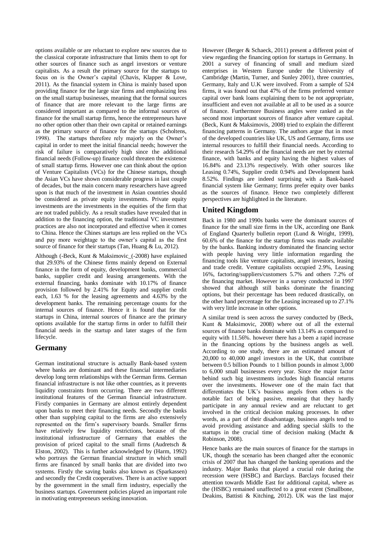options available or are reluctant to explore new sources due to the classical corporate infrastructure that limits them to opt for other sources of finance such as angel investors or venture capitalists. As a result the primary source for the startups to focus on is the Owner's capital (Chavis, Klapper & Love, 2011). As the financial system in China is mainly based upon providing finance for the large size firms and emphasizing less on the small startup businesses, meaning that the formal sources of finance that are more relevant to the large firms are considered important as compared to the informal sources of finance for the small startup firms, hence the entrepreneurs have no other option other than their own capital or retained earnings as the primary source of finance for the startups (Scholtens, 1998). The startups therefore rely majorly on the Owner's capital in order to meet the initial financial needs; however the risk of failure is comparatively high since the additional financial needs (Follow-up) finance could threaten the existence of small startup firms. However one can think about the option of Venture Capitalists (VCs) for the Chinese startups, though the Asian VCs have shown considerable progress in last couple of decades, but the main concern many researchers have agreed upon is that much of the investment in Asian countries should be considered as private equity investments. Private equity investments are the investments in the equities of the firm that are not traded publicly. As a result studies have revealed that in addition to the financing option, the traditional VC investment practices are also not incorporated and effective when it comes to China. Hence the Chines startups are less replied on the VCs and pay more weightage to the owner's capital as the first source of finance for their startups (Tan, Huang & Lu, 2012).

Although (-Beck, Kunt & Maksimovic\_(-2008) have explained that 29.93% of the Chinese firms mainly depend on External finance in the form of equity, development banks, commercial banks, supplier credit and leasing arrangements. With the external financing, banks dominate with 10.17% of finance provision followed by 2.41% for Equity and supplier credit each, 1.63 % for the leasing agreements and 4.63% by the development banks. The remaining percentage counts for the internal sources of finance. Hence it is found that for the startups in China, internal sources of finance are the primary options available for the startup firms in order to fulfill their financial needs in the startup and later stages of the firm lifecycle.

# **Germany**

German institutional structure is actually Bank-based system where banks are dominant and these financial intermediaries develop long term relationships with the German firms. German financial infrastructure is not like other countries, as it prevents liquidity constraints from occurring. There are two different institutional features of the German financial infrastructure. Firstly companies in Germany are almost entirely dependent upon banks to meet their financing needs. Secondly the banks other than supplying capital to the firms are also extensively represented on the firm's supervisory boards. Smaller firms have relatively few liquidity restrictions, because of the institutional infrastructure of Germany that enables the provision of priced capital to the small firms (Audretsch & Elston, 2002). This is further acknowledged by (Harm, 1992) who portrays the German financial structure in which small firms are financed by small banks that are divided into two systems. Firstly the saving banks also known as (Sparkassen) and secondly the Credit cooperatives. There is an active support by the government in the small firm industry, especially the business startups. Government policies played an important role in motivating entrepreneurs seeking innovation.

However (Berger & Schaeck, 2011) present a different point of view regarding the financing option for startups in Germany. In 2001 a survey of financing of small and medium sized enterprises in Western Europe under the University of Cambridge (Martin, Turner, and Sunley 2001), three countries, Germany, Italy and U.K were involved. From a sample of 524 firms, it was found out that 47% of the firms preferred venture capital over bank loans explaining them to be not appropriate, insufficient and even not available at all to be used as a source of finance. Furthermore Business angles were ranked as the second most important sources of finance after venture capital. (Beck, Kunt & Maksimovis, 2008) tried to explain the different financing patterns in Germany. The authors argue that in most of the developed countries like UK, US and Germany, firms use internal resources to fulfill their financial needs. According to their research 54.29% of the financial needs are met by external finance, with banks and equity having the highest values of 16.84% and 23.13% respectively. With other sources like Leasing 0.74%, Supplier credit 0.94% and Development bank 8.52%. Findings are indeed surprising with a Bank-based financial system like Germany; firms prefer equity over banks as the sources of finance. Hence two completely different perspectives are highlighted in the literature.

# **United Kingdom**

Back in 1980 and 1990s banks were the dominant sources of finance for the small size firms in the UK, according one Bank of England Quarterly bulletin report (Lund & Wright, 1999), 60.6% of the finance for the startup firms was made available by the banks. Banking industry dominated the financing sector with people having very little information regarding the financing tools like venture capitalists, angel investors, leasing and trade credit. Venture capitalists occupied 2.9%, Leasing 16%, factoring/suppliers/customers 5.7% and others 7.2% of the financing market. However in a survey conducted in 1997 showed that although still banks dominate the financing options, but their percentage has been reduced drastically, on the other hand percentage for the Leasing increased up to 27.1% with very little increase in other options.

A similar trend is seen across the survey conducted by (Beck, Kunt & Maksimovic, 2008) where out of all the external sources of finance banks dominate with 13.14% as compared to equity with 11.56%. however there has a been a rapid increase in the financing options by the business angels as well. According to one study, there are an estimated amount of 20,000 to 40,000 angel investors in the UK, that contribute between 0.5 billion Pounds to 1 billion pounds in almost 3,000 to 6,000 small businesses every year. Since the major factor behind such big investments includes high financial returns over the investments. However one of the main fact that differentiates the UK's business angels from others is the notable fact of being passive, meaning that they hardly participate in any annual review and are reluctant to get involved in the critical decision making processes. In other words, as a part of their disadvantage, business angels tend to avoid providing assistance and adding special skills to the startups in the crucial time of decision making (Macht & Robinson, 2008).

Hence banks are the main sources of finance for the startups in UK, though the scenario has been changed after the economic crisis of 2007 that has changed the banking operations and the industry. Major Banks that played a crucial role during the recession were (HSBC) and Barclays. Barclays focused their attention towards Middle East for additional capital, where as the (HSBC) remained unaffected to a great extent (Smallbone, Deakins, Battisti & Kitching, 2012). UK was the last major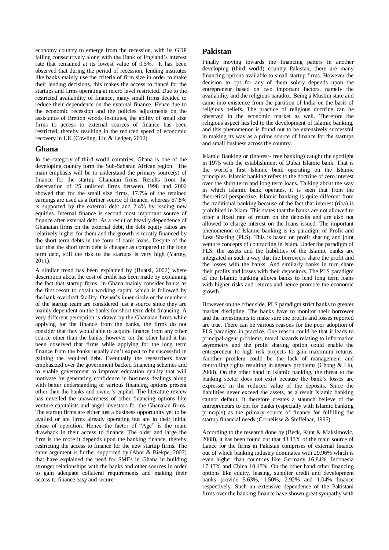economy country to emerge from the recession, with its GDP falling consecutively along with the Bank of England's interest rate that remained at its lowest value of 0.5%. It has been observed that during the period of recession, lending institutes like banks mainly use the criteria of firm size in order to make their lending decisions, this makes the access to fiancé for the startups and firms operating at micro level restricted. Due to the restricted availability of finance, many small firms decided to reduce their dependence on the external finance. Hence due to the economic recession and the policies adjustments on the assistance of Bretton woods institutes, the ability of small size firms to access to external sources of finance has been restricted, thereby resulting in the reduced speed of economic recovery in UK (Cowling, Liu & Ledger, 2012)

### **Ghana**

In the category of third world countries, Ghana is one of the developing country form the Sub-Saharan African region. The main emphasis will be to understand the primary source(s) of finance for the startup Ghanaian firms. Results from the observation of 25 unlisted firms between 1998 and 2002 showed that for the small size firms, 17.7% of the retained earnings are used as a further source of finance, whereas 67.8% is supported by the external debt and 2.4% by issuing new equities. Internal finance is second most important source of finance after external debt. As a result of heavily dependence of Ghanaian firms on the external debt, the debt equity ratios are relatively higher for them and the growth is mostly financed by the short term debts in the form of bank loans. Despite of the fact that the short term debt is cheaper as compared to the long term debt, still the risk to the startups is very high (Yartey, 2011).

A similar trend has been explained by (Buatsi, 2002) where description about the cost of credit has been made by explaining the fact that startup firms in Ghana mainly consider banks as the first resort to obtain working capital which is followed by the bank overdraft facility. Owner's inner circle or the members of the startup team are considered just a source since they are mainly dependent on the banks for short term debt financing. A very different perception is drawn by the Ghanaian firms while applying for the finance from the banks, the firms do not consider that they would able to acquire finance from any other source other than the banks, however on the other hand it has been observed that firms while applying for the long term finance from the banks usually don't expect to be successful in gaining the required debt. Eventually the researchers have emphasized over the government backed financing schemes and to enable government to improve education quality that will motivate by generating confidence in business dealings along with better understanding of various financing options present other than the banks and owner's capital. The literature review has unveiled the unawareness of other financing options like venture capitalists and angel investors for the Ghanaian firms. The startup firms are either just a business opportunity yet to be availed or are firms already operating but are in their initial phase of operation. Hence the factor of "Age" is the main drawback in their access to finance. The older and large the firm is the more it depends upon the banking finance, thereby restricting the access to finance for the new startup firms. The same argument is further supported by (Abor & Biekpe, 2007) that have explained the need for SMEs in Ghana in building stronger relationships with the banks and other sources in order to gain adequate collateral requirements and making their access to finance easy and secure

# **Pakistan**

Finally moving towards the financing patters in another developing (third world) country Pakistan, there are many financing options available to small startup firms. However the decision to opt for any of them solely depends upon the entrepreneur based on two important factors, namely the availability and the religious paradox. Being a Muslim state and came into existence from the partition of India on the basis of religious beliefs. The practice of religious doctrine can be observed in the economic market as well. Therefore the religious aspect has led to the development of Islamic banking, and this phenomenon is found out to be extensively successful in making its way as a prime source of finance for the startups and small business across the country.

Islamic Banking or (interest- free banking) caught the spotlight in 1975 with the establishment of Dubai Islamic bank. That is the world's first Islamic bank operating on the Islamic principles. Islamic banking refers to the doctrine of zero interest over the short term and long term loans. Talking about the way in which Islamic bank operates, it is seen that from the theoretical perspective, Islamic banking is quite different from the traditional banking because of the fact that interest (riba) is prohibited in Islam. This states that the banks are not allowed to offer a fixed rate of return on the deposits and are also not allowed to charge interest on the loans issued. The important phenomenon of Islamic banking is its paradigm of Profit and Loss Sharing (PLS). This is based on profit sharing and joint venture concepts of contracting in Islam. Under the paradigm of PLS, the assets and the liabilities of the Islamic banks are integrated in such a way that the borrowers share the profit and the losses with the banks. And similarly banks in turn share their profits and losses with their depositors. The PLS paradigm of the Islamic banking allows banks to lend long term loans with higher risks and returns and hence promote the economic growth.

However on the other side, PLS paradigm strict banks to greater market discipline. The banks have to monitor their borrower and the investments to make sure the profits and losses reported are true. There can be various reasons for the poor adoption of PLS paradigm in practice. One reason could be that it leads to principal-agent problems, moral hazards relating to information asymmetry and the profit sharing option could enable the entrepreneur to high risk projects to gain maximum returns. Another problem could be the lack of management and controlling rights resulting in agency problems (Chong & Liu, 2008). On the other hand in Islamic banking, the threat to the banking sector does not exist because the bank's losses are expressed in the reduced value of the deposits. Since the liabilities never exceed the assets, as a result Islamic banking cannot default. It therefore creates a staunch believe of the entrepreneurs to opt for banks (especially with Islamic banking principle) as the primary source of finance for fulfilling the startup financial needs (Cornelisse & Steffelaar, 1995).

According to the research done by (Beck, Kunt & Maksimovic, 2008), it has been found out that 43.13% of the main source of fiancé for the firms in Pakistan comprises of external finance out of which banking industry dominates with 29.96% which is even higher than countries like Germany 16.84%, Indonesia 17.17% and China 10.17%. On the other hand other financing options like equity, leasing, supplier credit and development banks provide 5.63%, 1.50%, 2.92% and 1.04% finance respectively. Such an extensive dependence of the Pakistani firms over the banking finance have shown great sympathy with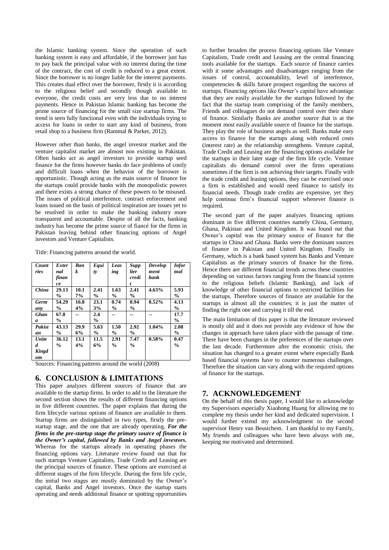the Islamic banking system. Since the operation of such banking system is easy and affordable, if the borrower just has to pay back the principal value with no interest during the time of the contract, the cost of credit is reduced to a great extent. Since the borrower is no longer liable for the interest payments. This creates dual effect over the borrower, firstly it is according to the religious belief and secondly though available to everyone, the credit costs are very less due to no interest payments. Hence in Pakistan Islamic banking has become the prime source of financing for the small size startup firms. The trend is seen fully functional even with the individuals trying to access for loans in order to start any kind of business, from retail shop to a business firm (Rammal & Parker, 2012).

However other than banks, the angel investor market and the venture capitalist market are almost non existing in Pakistan. Often banks act as angel investors to provide startup seed finance for the firms however banks do face problems of costly and difficult loans when the behavior of the borrower is opportunistic. Though acting as the main source of finance for the startups could provide banks with the monopolistic powers and there exists a strong chance of these powers to be misused. The issues of political interference, contract enforcement and loans issued on the basis of political inspiration are issues yet to be resolved in order to make the banking industry more transparent and accountable. Despite of all the facts, banking industry has become the prime source of fiancé for the firms in Pakistan leaving behind other financing options of Angel investors and Venture Capitalists.

| Count        | Exter         | <b>Ban</b> | Equi          | Leas          | <b>Supp</b>   | Develop | <b>Infor</b>  |
|--------------|---------------|------------|---------------|---------------|---------------|---------|---------------|
| ries         | nal           | k          | ty            | ing           | lier          | ment    | mal           |
|              | finan         |            |               |               | credi         | bank    |               |
|              | ce            |            |               |               | t             |         |               |
| China        | 29.13         | 10.1       | 2.41          | 1.63          | 2.41          | 4.63%   | 5.93          |
|              | $\frac{6}{9}$ | 7%         | $\frac{6}{9}$ | $\frac{6}{9}$ | $\frac{0}{0}$ |         | $\frac{0}{0}$ |
| <b>Germ</b>  | 54.29         | 16.8       | 23.1          | 0.74          | 0.94          | 8.52%   | 4.13          |
| any          | $\%$          | 4%         | 3%            | $\frac{6}{9}$ | $\frac{0}{0}$ |         | $\frac{0}{0}$ |
| <b>Ghan</b>  | 67.8          |            | 2.4           |               |               |         | 17.7          |
| a            | $\frac{0}{0}$ |            | $\frac{6}{9}$ |               |               |         | $\frac{0}{0}$ |
| Pakist       | 43.13         | 29.9       | 5.63          | 1.50          | 2.92          | 1.04%   | 2.08          |
| an           | $\frac{6}{9}$ | 6%         | $\frac{6}{9}$ | $\frac{0}{0}$ | $\frac{0}{0}$ |         | $\frac{0}{0}$ |
| Unite        | 36.12         | 13.1       | 11.5          | 2.91          | 7.47          | 0.58%   | 0.47          |
| d            | $\frac{6}{9}$ | 4%         | 6%            | $\frac{0}{0}$ | $\frac{0}{0}$ |         | $\frac{0}{0}$ |
| <b>Kingd</b> |               |            |               |               |               |         |               |
| om           |               |            |               |               |               |         |               |

Title: Financing patterns around the world.

Sources: Financing patterns around the world (2008)

#### **6. CONCLUSION & LIMITATIONS**

This paper analyzes different sources of finance that are available to the startup firms. In order to add to the literature the second section shows the results of different financing options in five different countries. The paper explains that during the firm lifecycle various options of finance are available to them. Startup firms are distinguished in two types, firstly the prestartup stage, and the one that are already operating. *For the firms in the pre-startup stage the primary source of finance is the Owner's capital, followed by Banks and Angel investors.* Whereas for the startups already in operating phases the financing options vary. Literature review found out that for such startups Venture Capitalists, Trade Credit and Leasing are the principal sources of finance. These options are exercised at different stages of the firm lifecycle. During the firm life cycle, the initial two stages are mostly dominated by the Owner's capital, Banks and Angel investors. Once the startup starts operating and needs additional finance or spotting opportunities to further broaden the process financing options like Venture Capitalists, Trade credit and Leasing are the central financing tools available for the startups. Each source of finance carries with it some advantages and disadvantages ranging from the issues of control, accountability, level of interference, competencies & skills future prospect regarding the success of startups. Financing options like Owner's capital have advantage that they are easily available for the startups followed by the fact that the startup team comprising of the family members, Friends and colleagues do not demand control over their share of finance. Similarly Banks are another source that is at the moment most easily available source of finance for the startups. They play the role of business angels as well. Banks make easy access to finance for the startups along with reduced costs (interest rate) as the relationship strengthens. Venture capital, Trade Credit and Leasing are the financing options available for the startups in their later stage of the firm life cycle. Venture capitalists do demand control over the firms operations sometimes if the firm is not achieving their targets. Finally with the trade credit and leasing options, they can be exercised once a firm is established and would need finance to satisfy its financial needs. Though trade credits are expensive, yet they help continue firm's financial support whenever finance is required.

The second part of the paper analyzes financing options dominant in five different countries namely China, Germany, Ghana, Pakistan and United Kingdom. It was found out that Owner's capital was the primary source of finance for the startups in China and Ghana. Banks were the dominant sources of finance in Pakistan and United Kingdom. Finally in Germany, which is a bank based system has Banks and Venture Capitalists as the primary sources of finance for the firms. Hence there are different financial trends across these countries depending on various factors ranging from the financial system to the religious beliefs (Islamic Banking), and lack of knowledge of other financial options to restricted facilities for the startups. Therefore sources of finance are available for the startups in almost all the countries; it is just the matter of finding the right one and carrying it till the end.

The main limitation of this paper is that the literature reviewed is mostly old and it does not provide any evidence of how the changes in approach have taken place with the passage of time. There have been changes in the preferences of the startups over the last decade. Furthermore after the economic crisis, the situation has changed to a greater extent where especially Bank based financial systems have to counter numerous challenges. Therefore the situation can vary along with the required options of finance for the startups.

### **7. ACKNOWLEDGEMENT**

On the behalf of this thesis paper, I would like to acknowledge my Supervisors especially Xiaohong Huang for allowing me to complete my thesis under her kind and dedicated supervision. I would further extend my acknowledgment to the second supervisor Henry van Beusichem. I am thankful to my Family, My friends and colleagues who have been always with me, keeping me motivated and determined.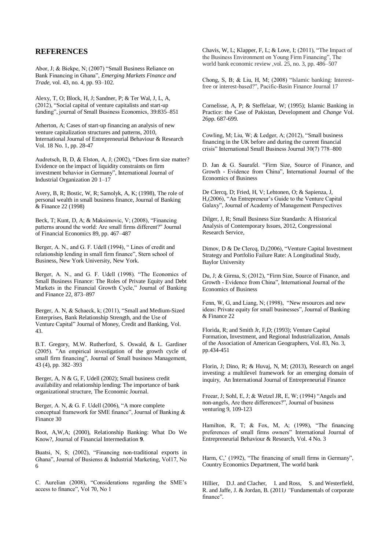### **REFERENCES**

Abor, J; & Biekpe, N; (2007) "Small Business Reliance on Bank Financing in Ghana", *Emerging Markets Finance and Trade,* vol. 43, no. 4, pp. 93–102.

Alexy, T, O; Block, H, J; Sandner, P; & Ter Wal, J, L, A, (2012), "Social capital of venture capitalists and start-up funding", journal of Small Business Economics, 39:835–851

Atherton, A; Cases of start-up financing an analysis of new venture capitalization structures and patterns, 2010, International Journal of Entrepreneurial Behaviour & Research Vol. 18 No. 1, pp. 28-47

Audretsch, B, D, & Elston, A, J; (2002), "Does firm size matter? Evidence on the impact of liquidity constraints on firm investment behavior in Germany", International Journal of Industrial Organization 20 1–17

Avery, B, R; Bostic, W, R; Samolyk, A, K; (1998), The role of personal wealth in small business finance, Journal of Banking & Finance 22 (1998)

Beck, T; Kunt, D, A; & Maksimovic, V; (2008), "Financing patterns around the world: Are small firms different?" Journal of Financial Economics 89, pp. 467–487

Berger, A. N., and G. F. Udell (1994), " Lines of credit and relationship lending in small firm finance", Stern school of Business, New York University, New York.

Berger, A. N., and G. F. Udell (1998). "The Economics of Small Business Finance: The Roles of Private Equity and Debt Markets in the Financial Growth Cycle," Journal of Banking and Finance 22, 873–897

Berger, A. N, & Schaeck, k; (2011), "Small and Medium-Sized Enterprises, Bank Relationship Strength, and the Use of Venture Capital" Journal of Money, Credit and Banking, Vol. 43.

B.T. Gregory, M.W. Rutherford, S. Oswald, & L. Gardiner (2005). "An empirical investigation of the growth cycle of small firm financing", Journal of Small business Management, 43 (4), pp. 382–393

Berger, A, N & G, F, Udell (2002); Small business credit availability and relationship lending: The importance of bank organizational structure, The Economic Journal.

Berger, A. N, & G. F. Udell (2006), "A more complete conceptual framework for SME finance", Journal of Banking & Finance 30

Boot, A,W,A; (2000), Relationship Banking: What Do We Know?, Journal of Financial Intermediation **9**.

Buatsi, N, S; (2002), "Financing non-traditional exports in Ghana", Journal of Busienss & Industrial Marketing, Vol17, No 6

C. Aurelian (2008), "Considerations regarding the SME's access to finance", Vol 70, No 1

Chavis, W, L; Klapper, F, L; & Love, I; (2011), "The Impact of the Business Environment on Young Firm Financing", The world bank economic review ,vol. 25, no. 3, pp. 486–507

Chong, S, B; & Liu, H, M; (2008) "Islamic banking: Interestfree or interest-based?", Pacific-Basin Finance Journal 17

Cornelisse, A, P; & Steffelaar, W; (1995); Islamic Banking in Practice: the Case of Pakistan, Development and *Change* Vol. 26pp. 687-699.

Cowling, M; Liu, W; & Ledger, A; (2012), "Small business financing in the UK before and during the current financial crisis" International Small Business Journal 30(7) 778–800

D. Jan & G. Saurafel. "Firm Size, Source of Finance, and Growth - Evidence from China", International Journal of the Economics of Business

De Clercq, D; Fried, H, V; Lehtonen, O; & Sapienza, J, H,(2006), "An Entrepreneur's Guide to the Venture Capital Galaxy", Journal of Academy of Management Perspectives

Dilger, J, R; Small Business Size Standards: A Historical Analysis of Contemporary Issues, 2012, Congressional Research Service,

Dimov, D & De Clercq, D,(2006), "Venture Capital Investment Strategy and Portfolio Failure Rate: A Longitudinal Study, Baylor University

Du, J; & Girma, S; (2012), "Firm Size, Source of Finance, and Growth - Evidence from China", International Journal of the Economics of Business

Fenn, W, G, and Liang, N; (1998), "New resources and new ideas: Private equity for small businesses", Journal of Banking & Finance 22

Florida, R; and Smith Jr, F,D; (1993); Venture Capital Formation, Investment, and Regional Industrialization, Annals of the Association of American Geographers, Vol. 83, No. 3, pp.434-451

Florin, J; Dino, R; & Huvaj, N, M; (2013), Research on angel investing: a multilevel framework for an emerging domain of inquiry, An International Journal of Entrepreneurial Finance

Freear, J; Sohl, E, J; & Wetzel JR, E, W; (1994) "Angels and non-angels, Are there differences?", Journal of business venturing 9, 109-123

Hamilton, R, T; & Fox, M, A; (1998), "The financing preferences of small firms owners" International Journal of Entrepreneurial Behaviour & Research, Vol. 4 No. 3

Harm, C,' (1992), "The financing of small firms in Germany", Country Economics Department, The world bank

Hillier, D.J. and Clacher, I. and Ross, S. and Westerfield, R. and Jaffe, J. & Jordan, B. (2011*) "*Fundamentals of corporate finance"*.*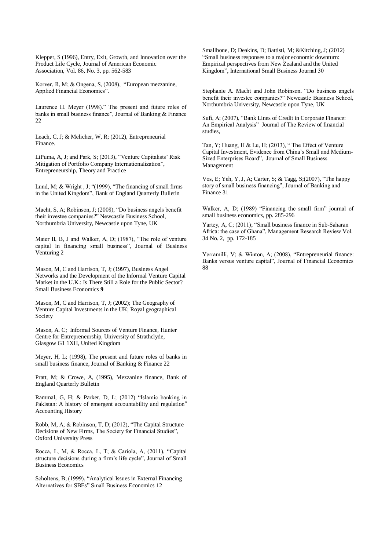Klepper, S (1996), Entry, Exit, Growth, and Innovation over the Product Life Cycle, Journal of American Economic Association, Vol. 86, No. 3, pp. 562-583

Korver, R, M; & Ongena, S, (2008), "European mezzanine, Applied Financial Economics".

Laurence H. Meyer (1998)." The present and future roles of banks in small business finance", Journal of Banking & Finance 22

Leach, C, J; & Melicher, W, R; (2012), Entrepreneurial Finance.

LiPuma, A, J; and Park, S; (2013), "Venture Capitalists' Risk Mitigation of Portfolio Company Internationalization", Entrepreneurship, Theory and Practice

Lund, M; & Wright, J; "(1999), "The financing of small firms in the United Kingdom", Bank of England Quarterly Bulletin

Macht, S, A; Robinson, J; (2008), "Do business angels benefit their investee companies?" Newcastle Business School, Northumbria University, Newcastle upon Tyne, UK

Maier II, B, J and Walker, A, D; (1987), "The role of venture capital in financing small business", Journal of Business Venturing 2

Mason, M, C and Harrison, T, J; (1997), Business Angel Networks and the Development of the Informal Venture Capital Market in the U.K.: Is There Still a Role for the Public Sector? Small Business Economics **9**

Mason, M, C and Harrison, T, J; (2002); The Geography of Venture Capital Investments in the UK; Royal geographical Society

Mason, A. C; Informal Sources of Venture Finance, Hunter Centre for Entrepreneurship, University of Strathclyde, Glasgow G1 1XH, United Kingdom

Meyer, H, L; (1998), The present and future roles of banks in small business finance, Journal of Banking & Finance 22

Pratt, M; & Crowe, A, (1995), Mezzanine finance, Bank of England Quarterly Bulletin

Rammal, G, H; & Parker, D, L; (2012) "Islamic banking in Pakistan: A history of emergent accountability and regulation" Accounting History

Robb, M, A; & Robinson, T, D; (2012), "The Capital Structure Decisions of New Firms, The Society for Financial Studies", Oxford University Press

Rocca, L, M, & Rocca, L, T; & Cariola, A, (2011), "Capital structure decisions during a firm's life cycle", Journal of Small Business Economics

Scholtens, B; (1999), "Analytical Issues in External Financing Alternatives for SBEs" Small Business Economics 12

Smallbone, D; Deakins, D; Battisti, M; &Kitching, J; (2012) "Small business responses to a major economic downturn: Empirical perspectives from New Zealand and the United Kingdom", International Small Business Journal 30

Stephanie A. Macht and John Robinson. "Do business angels benefit their investee companies?" Newcastle Business School, Northumbria University, Newcastle upon Tyne, UK

Sufi, A; (2007), "Bank Lines of Credit in Corporate Finance: An Empirical Analysis" Journal of The Review of financial studies,

Tan, Y; Huang, H & Lu, H; (2013), " The Effect of Venture Capital Investment, Evidence from China's Small and Medium-Sized Enterprises Board", Journal of Small Business Management

Vos, E; Yeh, Y, J, A; Carter, S; & Tagg, S;(2007), "The happy story of small business financing", Journal of Banking and Finance 31

Walker, A, D; (1989) "Financing the small firm" journal of small business economics, pp. 285-296

Yartey, A, C; (2011); "Small business finance in Sub-Saharan Africa: the case of Ghana", Management Research Review Vol. 34 No. 2, pp. 172-185

Yerramilli, V; & Winton, A; (2008), "Entrepreneurial finance: Banks versus venture capital", Journal of Financial Economics 88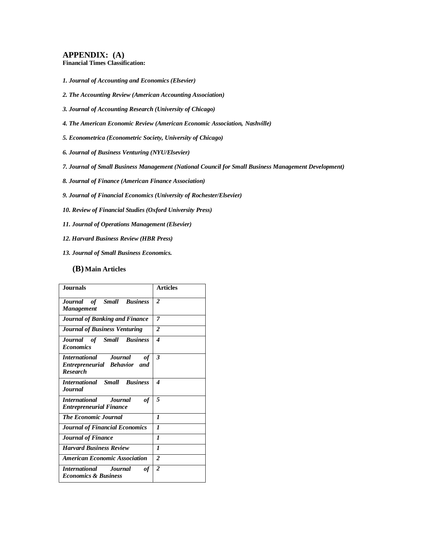### **APPENDIX: (A)**

**Financial Times Classification:**

- *1. Journal of Accounting and Economics (Elsevier)*
- *2. The Accounting Review (American Accounting Association)*
- *3. Journal of Accounting Research (University of Chicago)*
- *4. The American Economic Review (American Economic Association, Nashville)*
- *5. Econometrica (Econometric Society, University of Chicago)*
- *6. Journal of Business Venturing (NYU/Elsevier)*
- *7. Journal of Small Business Management (National Council for Small Business Management Development)*
- *8. Journal of Finance (American Finance Association)*
- *9. Journal of Financial Economics (University of Rochester/Elsevier)*
- *10. Review of Financial Studies (Oxford University Press)*
- *11. Journal of Operations Management (Elsevier)*
- *12. Harvard Business Review (HBR Press)*
- *13. Journal of Small Business Economics.*

#### **(B) Main Articles**

| <b>Journals</b>                                                                       | <b>Articles</b> |
|---------------------------------------------------------------------------------------|-----------------|
| Journal of Small Business<br><b>Management</b>                                        | $\overline{2}$  |
| <b>Journal of Banking and Finance</b>                                                 | 7               |
| <b>Journal of Business Venturing</b>                                                  | $\overline{2}$  |
| Journal of Small Business<br><b>Economics</b>                                         | 4               |
| <b>International Journal</b><br>оf<br>Entrepreneurial Behavior and<br><b>Research</b> | 3               |
| <b>International Small Business</b><br><b>Journal</b>                                 | 4               |
| International Journal<br>оf<br><b>Entrepreneurial Finance</b>                         | 5               |
| <b>The Economic Journal</b>                                                           | 1               |
| <b>Journal of Financial Economics</b>                                                 | $\mathbf{I}$    |
| <b>Journal of Finance</b>                                                             | $\mathbf{I}$    |
| <b>Harvard Business Review</b>                                                        | $\mathbf{I}$    |
| <b>American Economic Association</b>                                                  | $\overline{2}$  |
| <i>International Journal</i><br>оf<br><b>Economics &amp; Business</b>                 | $\overline{2}$  |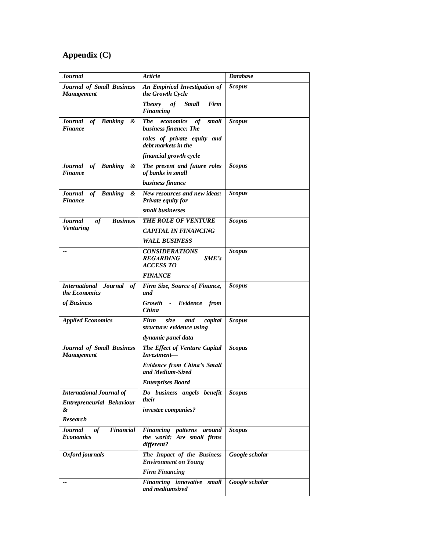# **Appendix (C)**

| <b>Journal</b>                                                      | <b>Article</b>                                                                | <b>Database</b> |
|---------------------------------------------------------------------|-------------------------------------------------------------------------------|-----------------|
| Journal of Small Business<br><b>Management</b>                      | An Empirical Investigation of<br>the Growth Cycle                             | <b>Scopus</b>   |
|                                                                     | <b>Theory</b><br>of<br><b>Small</b><br>Firm<br><b>Financing</b>               |                 |
| of Banking<br><b>Journal</b><br>&<br><b>Finance</b>                 | <b>The</b><br>economics<br>of<br>small<br>business finance: The               | <b>Scopus</b>   |
|                                                                     | roles of private equity and<br>debt markets in the                            |                 |
|                                                                     | financial growth cycle                                                        |                 |
| Journal of Banking<br>&<br>Finance                                  | The present and future roles<br>of banks in small                             | <b>Scopus</b>   |
|                                                                     | business finance                                                              |                 |
| Journal of Banking<br>&<br><b>Finance</b>                           | New resources and new ideas:<br>Private equity for                            | <b>Scopus</b>   |
|                                                                     | small businesses                                                              |                 |
| of<br><b>Business</b><br><b>Journal</b><br><b>Venturing</b>         | THE ROLE OF VENTURE                                                           | <b>Scopus</b>   |
|                                                                     | <b>CAPITAL IN FINANCING</b>                                                   |                 |
|                                                                     | <b>WALL BUSINESS</b>                                                          |                 |
| --                                                                  | <i><b>CONSIDERATIONS</b></i><br><b>REGARDING</b><br>SME's<br><b>ACCESS TO</b> | <b>Scopus</b>   |
|                                                                     | <b>FINANCE</b>                                                                |                 |
| <b>International Journal</b><br>of<br><i>the Economics</i>          | Firm Size, Source of Finance,<br>and                                          | <b>Scopus</b>   |
| of Business                                                         | Growth - Evidence from<br><i>China</i>                                        |                 |
| <b>Applied Economics</b>                                            | Firm<br>size<br>capital<br>and<br>structure: evidence using                   | <b>Scopus</b>   |
|                                                                     | dynamic panel data                                                            |                 |
| <b>Journal of Small Business</b><br><b>Management</b>               | The Effect of Venture Capital<br>Investment-                                  | <b>Scopus</b>   |
|                                                                     | <b>Evidence from China's Small</b><br>and Medium-Sized                        |                 |
|                                                                     | <b>Enterprises Board</b>                                                      |                 |
| <b>International Journal of</b><br><b>Entrepreneurial Behaviour</b> | Do business angels benefit<br>their                                           | <b>Scopus</b>   |
| &                                                                   | investee companies?                                                           |                 |
| <b>Research</b>                                                     |                                                                               |                 |
| <b>Financial</b><br>$\it of$<br><b>Journal</b><br><b>Economics</b>  | Financing patterns around<br>the world: Are small firms<br>different?         | <b>Scopus</b>   |
| Oxford journals                                                     | The Impact of the Business<br><b>Environment on Young</b>                     | Google scholar  |
|                                                                     | <b>Firm Financing</b>                                                         |                 |
|                                                                     | Financing innovative small<br>and mediumsized                                 | Google scholar  |